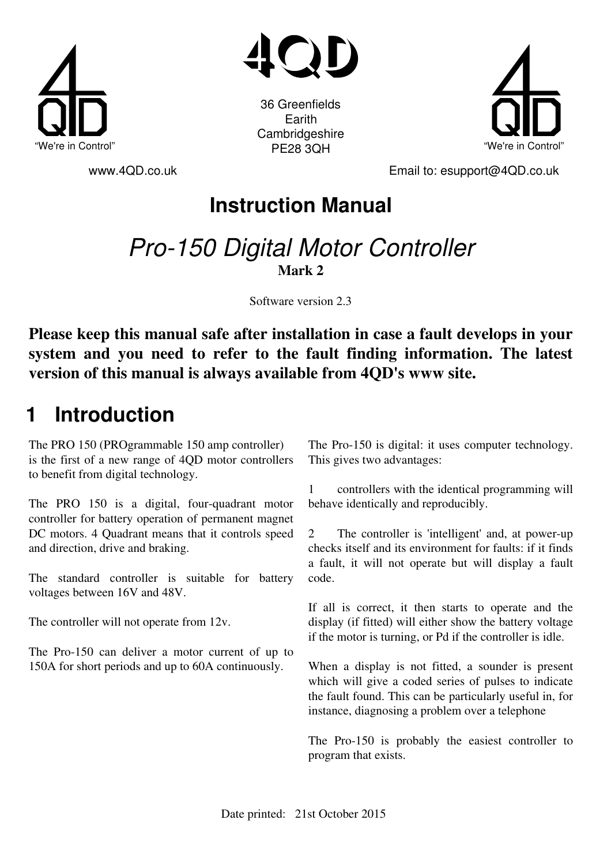



"We're in Control" וואס און איז האבן איז האבן איז האבן איז האבן איין איז האבן איז האבן איז האבן איז האבן איז ה 36 Greenfields Earith **Cambridgeshire** PE28 3QH



www.4QD.co.uk Email to: esupport@4QD.co.uk

**Instruction Manual**

## Pro-150 Digital Motor Controller **Mark 2**

Software version 2.3

**Please keep this manual safe after installation in case a fault develops in your system and you need to refer to the fault finding information. The latest version of this manual is always available from 4QD's www site.**

## **1 Introduction**

The PRO 150 (PROgrammable 150 amp controller) is the first of a new range of 4QD motor controllers to benefit from digital technology.

The PRO 150 is a digital, four-quadrant motor controller for battery operation of permanent magnet DC motors. 4 Quadrant means that it controls speed and direction, drive and braking.

The standard controller is suitable for battery voltages between 16V and 48V.

The controller will not operate from 12v.

The Pro-150 can deliver a motor current of up to 150A for short periods and up to 60A continuously.

The Pro-150 is digital: it uses computer technology. This gives two advantages:

1 controllers with the identical programming will behave identically and reproducibly.

2 The controller is 'intelligent' and, at power-up checks itself and its environment for faults: if it finds a fault, it will not operate but will display a fault code.

If all is correct, it then starts to operate and the display (if fitted) will either show the battery voltage if the motor is turning, or Pd if the controller is idle.

When a display is not fitted, a sounder is present which will give a coded series of pulses to indicate the fault found. This can be particularly useful in, for instance, diagnosing a problem over a telephone

The Pro-150 is probably the easiest controller to program that exists.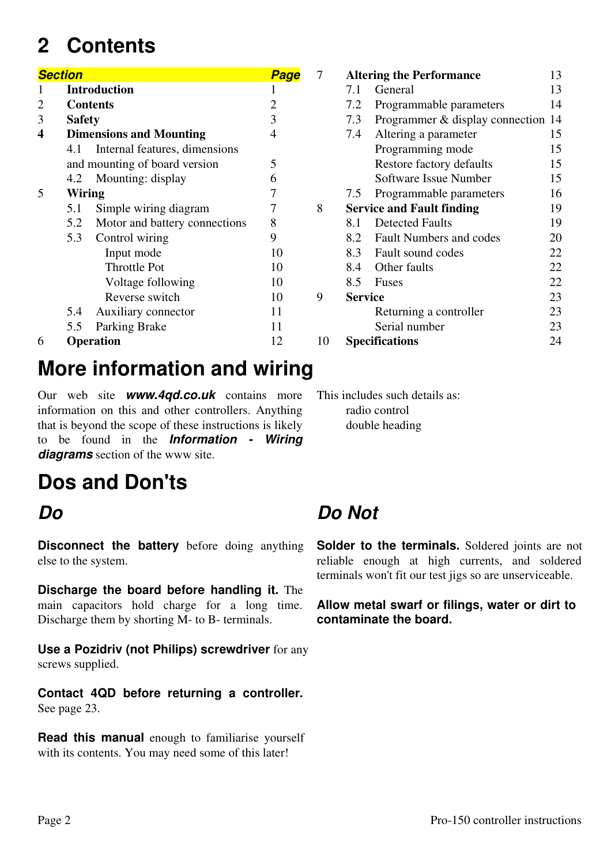## **2 Contents**

|                | <b>Section</b> |                                   | <b>Page</b>    |
|----------------|----------------|-----------------------------------|----------------|
|                |                | <b>Introduction</b>               | 1              |
| $\overline{2}$ |                | <b>Contents</b>                   | $\overline{2}$ |
| 3              | <b>Safety</b>  |                                   | 3              |
| 4              |                | <b>Dimensions and Mounting</b>    | $\overline{4}$ |
|                | 4.1            | Internal features, dimensions     |                |
|                |                | and mounting of board version     | 5              |
|                | 4.2            | Mounting: display                 | 6              |
| 5              | Wiring         |                                   | 7              |
|                | 5.1            | Simple wiring diagram             | 7              |
|                |                | 5.2 Motor and battery connections | 8              |
|                |                | 5.3 Control wiring                | 9              |
|                |                | Input mode                        | 10             |
|                |                | <b>Throttle Pot</b>               | 10             |
|                |                | Voltage following                 | 10             |
|                |                | Reverse switch                    | 10             |
|                | 5.4            | Auxiliary connector               | 11             |
|                | 5.5            | Parking Brake                     | 11             |
| 6              |                | <b>Operation</b>                  | 12             |

## **More information and wiring**

Our web site *www.4qd.co.uk* contains more information on this and other controllers. Anything that is beyond the scope of these instructions is likely to be found in the *Information - Wiring diagrams* section of the www site.

## **Dos and Don'ts**

### *Do*

**Disconnect the battery** before doing anything else to the system.

**Discharge the board before handling it.** The main capacitors hold charge for a long time. Discharge them by shorting M- to B- terminals.

**Use a Pozidriv (not Philips) screwdriver** for any screws supplied.

**Contact 4QD before returning a controller.** See page 23.

**Read this manual** enough to familiarise yourself with its contents. You may need some of this later!

|    |                | <b>Altering the Performance</b>  | 13 |
|----|----------------|----------------------------------|----|
|    | 7.1            | General                          | 13 |
|    | 7.2            | Programmable parameters          | 14 |
|    | 7.3            | Programmer & display connection  | 14 |
|    | 7.4            | Altering a parameter             | 15 |
|    |                | Programming mode                 | 15 |
|    |                | Restore factory defaults         | 15 |
|    |                | Software Issue Number            | 15 |
|    | 7.5            | Programmable parameters          | 16 |
| 8  |                | <b>Service and Fault finding</b> | 19 |
|    | 8.1            | <b>Detected Faults</b>           | 19 |
|    |                | 8.2 Fault Numbers and codes      | 20 |
|    |                | 8.3 Fault sound codes            | 22 |
|    |                | 8.4 Other faults                 | 22 |
|    |                | 8.5 Fuses                        | 22 |
| 9  | <b>Service</b> |                                  | 23 |
|    |                | Returning a controller           | 23 |
|    |                | Serial number                    | 23 |
| 10 |                | <b>Specifications</b>            | 24 |
|    |                |                                  |    |

This includes such details as: radio control double heading

## *Do Not*

**Solder to the terminals.** Soldered joints are not reliable enough at high currents, and soldered terminals won't fit our test jigs so are unserviceable.

**Allow metal swarf or filings, water or dirt to contaminate the board.**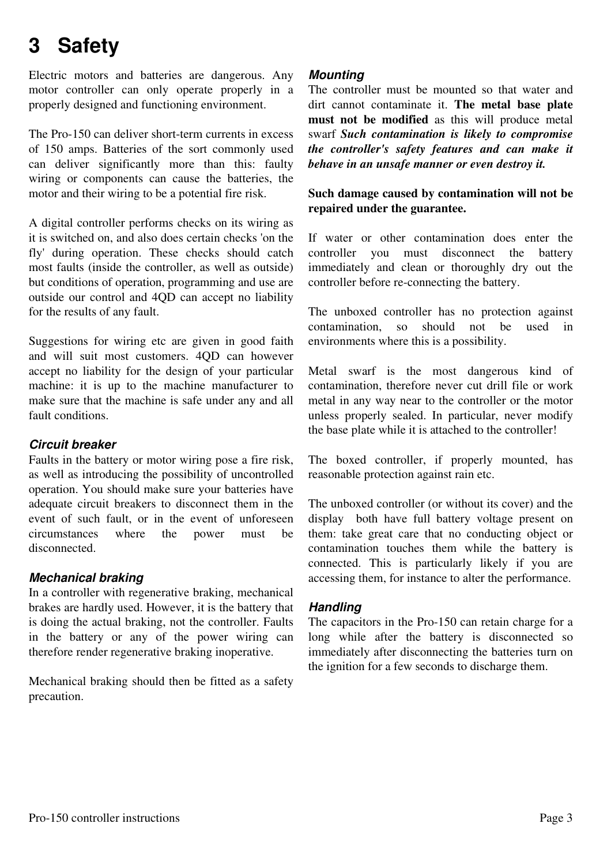## **3 Safety**

Electric motors and batteries are dangerous. Any motor controller can only operate properly in a properly designed and functioning environment.

The Pro-150 can deliver short-term currents in excess of 150 amps. Batteries of the sort commonly used can deliver significantly more than this: faulty wiring or components can cause the batteries, the motor and their wiring to be a potential fire risk.

A digital controller performs checks on its wiring as it is switched on, and also does certain checks 'on the fly' during operation. These checks should catch most faults (inside the controller, as well as outside) but conditions of operation, programming and use are outside our control and 4QD can accept no liability for the results of any fault.

Suggestions for wiring etc are given in good faith and will suit most customers. 4QD can however accept no liability for the design of your particular machine: it is up to the machine manufacturer to make sure that the machine is safe under any and all fault conditions.

#### *Circuit breaker*

Faults in the battery or motor wiring pose a fire risk, as well as introducing the possibility of uncontrolled operation. You should make sure your batteries have adequate circuit breakers to disconnect them in the event of such fault, or in the event of unforeseen circumstances where the power must be disconnected.

#### *Mechanical braking*

In a controller with regenerative braking, mechanical brakes are hardly used. However, it is the battery that is doing the actual braking, not the controller. Faults in the battery or any of the power wiring can therefore render regenerative braking inoperative.

Mechanical braking should then be fitted as a safety precaution.

#### *Mounting*

The controller must be mounted so that water and dirt cannot contaminate it. **The metal base plate must not be modified** as this will produce metal swarf *Such contamination is likely to compromise the controller's safety features and can make it behave in an unsafe manner or even destroy it.*

**Such damage caused by contamination will not be repaired under the guarantee.**

If water or other contamination does enter the controller you must disconnect the battery immediately and clean or thoroughly dry out the controller before re-connecting the battery.

The unboxed controller has no protection against contamination, so should not be used in environments where this is a possibility.

Metal swarf is the most dangerous kind of contamination, therefore never cut drill file or work metal in any way near to the controller or the motor unless properly sealed. In particular, never modify the base plate while it is attached to the controller!

The boxed controller, if properly mounted, has reasonable protection against rain etc.

The unboxed controller (or without its cover) and the display both have full battery voltage present on them: take great care that no conducting object or contamination touches them while the battery is connected. This is particularly likely if you are accessing them, for instance to alter the performance.

#### *Handling*

The capacitors in the Pro-150 can retain charge for a long while after the battery is disconnected so immediately after disconnecting the batteries turn on the ignition for a few seconds to discharge them.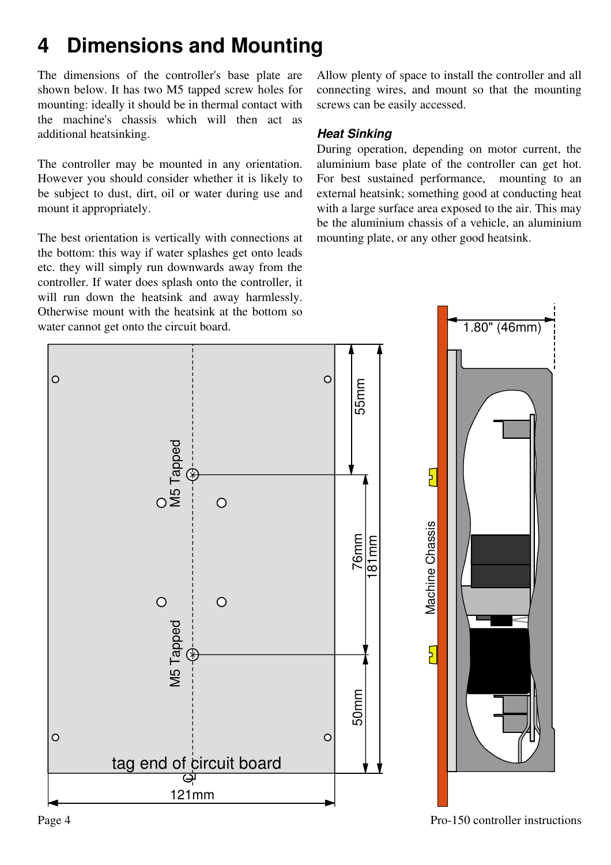## **4 Dimensions and Mounting**

The dimensions of the controller's base plate are shown below. It has two M5 tapped screw holes for mounting: ideally it should be in thermal contact with the machine's chassis which will then act as additional heatsinking.

The controller may be mounted in any orientation. However you should consider whether it is likely to be subject to dust, dirt, oil or water during use and mount it appropriately.

The best orientation is vertically with connections at the bottom: this way if water splashes get onto leads etc. they will simply run downwards away from the controller. If water does splash onto the controller, it will run down the heatsink and away harmlessly. Otherwise mount with the heatsink at the bottom so water cannot get onto the circuit board.

Allow plenty of space to install the controller and all connecting wires, and mount so that the mounting screws can be easily accessed.

### *Heat Sinking*

During operation, depending on motor current, the aluminium base plate of the controller can get hot. For best sustained performance, mounting to an external heatsink; something good at conducting heat with a large surface area exposed to the air. This may be the aluminium chassis of a vehicle, an aluminium mounting plate, or any other good heatsink.

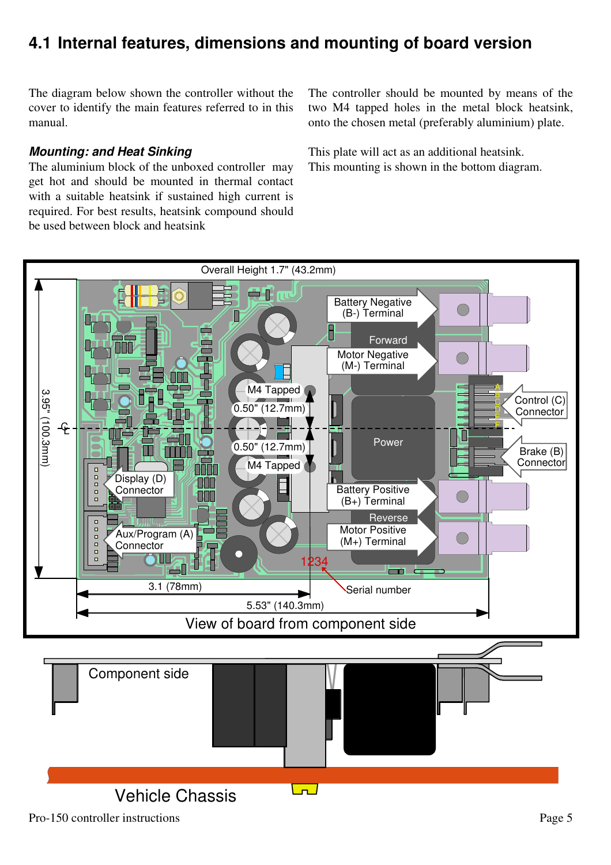### **4.1 Internal features, dimensions and mounting of board version**

The diagram below shown the controller without the cover to identify the main features referred to in this manual.

#### *Mounting: and Heat Sinking*

The aluminium block of the unboxed controller may get hot and should be mounted in thermal contact with a suitable heatsink if sustained high current is required. For best results, heatsink compound should be used between block and heatsink

The controller should be mounted by means of the two M4 tapped holes in the metal block heatsink, onto the chosen metal (preferably aluminium) plate.

This plate will act as an additional heatsink. This mounting is shown in the bottom diagram.

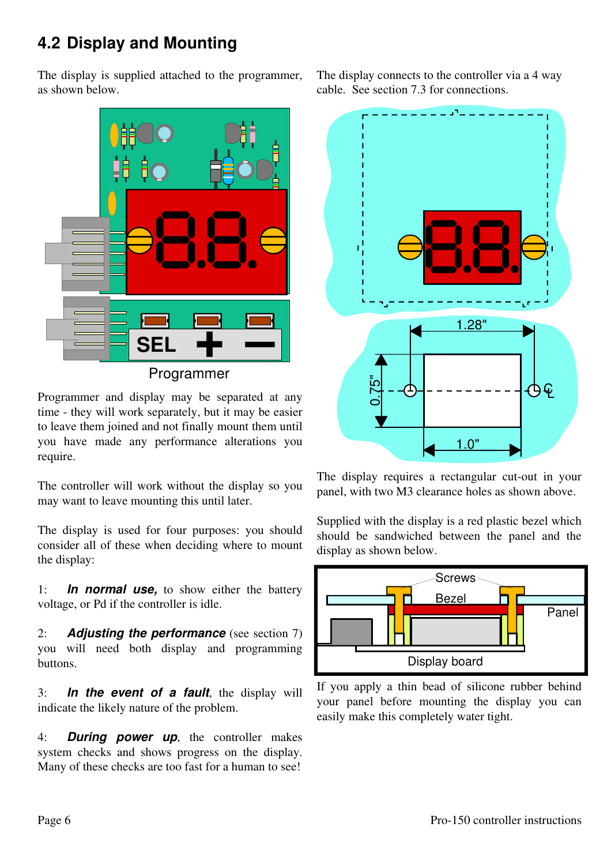### **4.2 Display and Mounting**

The display is supplied attached to the programmer, as shown below.



Programmer

Programmer and display may be separated at any time - they will work separately, but it may be easier to leave them joined and not finally mount them until you have made any performance alterations you require.

The controller will work without the display so you may want to leave mounting this until later.

The display is used for four purposes: you should consider all of these when deciding where to mount the display:

1: *In normal use,* to show either the battery voltage, or Pd if the controller is idle.

2: *Adjusting the performance* (see section 7) you will need both display and programming buttons.

3: *In the event of a fault*, the display will indicate the likely nature of the problem.

4: *During power up*, the controller makes system checks and shows progress on the display. Many of these checks are too fast for a human to see!

The display connects to the controller via a 4 way cable. See section 7.3 for connections.



The display requires a rectangular cut-out in your panel, with two M3 clearance holes as shown above.

Supplied with the display is a red plastic bezel which should be sandwiched between the panel and the display as shown below.



If you apply a thin bead of silicone rubber behind your panel before mounting the display you can easily make this completely water tight.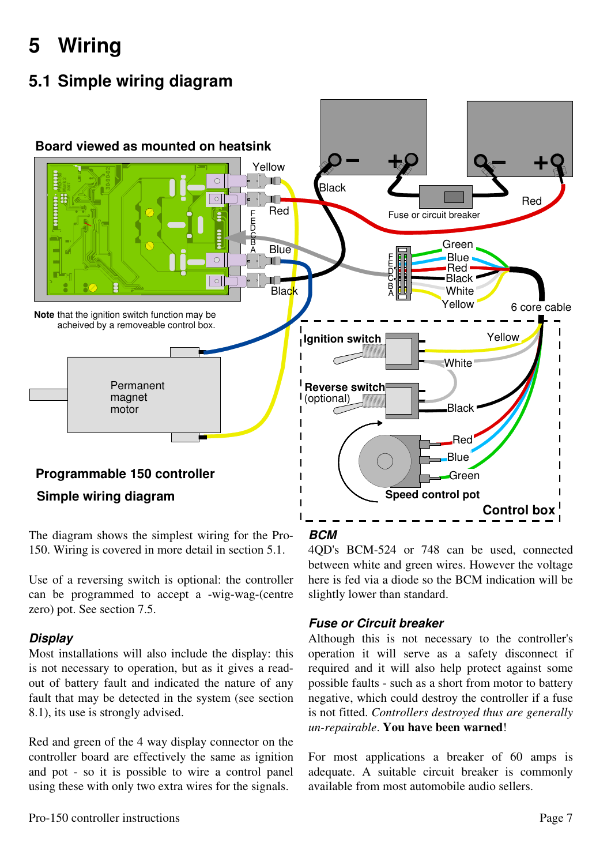# **5 Wiring**

### **5.1 Simple wiring diagram**



The diagram shows the simplest wiring for the Pro-150. Wiring is covered in more detail in section 5.1.

Use of a reversing switch is optional: the controller can be programmed to accept a -wig-wag-(centre zero) pot. See section 7.5.

### *Display*

Most installations will also include the display: this is not necessary to operation, but as it gives a readout of battery fault and indicated the nature of any fault that may be detected in the system (see section 8.1), its use is strongly advised.

Red and green of the 4 way display connector on the controller board are effectively the same as ignition and pot - so it is possible to wire a control panel using these with only two extra wires for the signals.

### *BCM*

4QD's BCM-524 or 748 can be used, connected between white and green wires. However the voltage here is fed via a diode so the BCM indication will be slightly lower than standard.

### *Fuse or Circuit breaker*

Although this is not necessary to the controller's operation it will serve as a safety disconnect if required and it will also help protect against some possible faults - such as a short from motor to battery negative, which could destroy the controller if a fuse is not fitted. *Controllers destroyed thus are generally un-repairable*. **You have been warned**!

For most applications a breaker of 60 amps is adequate. A suitable circuit breaker is commonly available from most automobile audio sellers.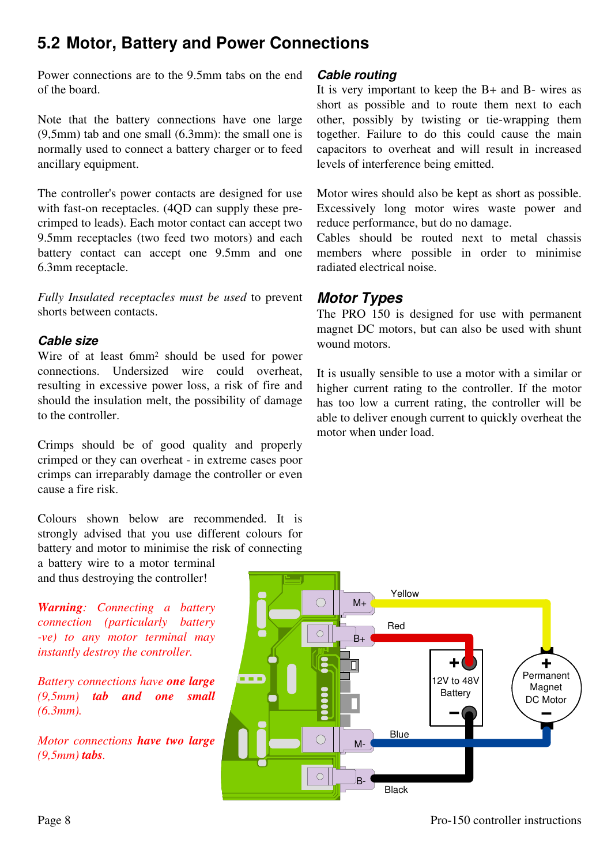### **5.2 Motor, Battery and Power Connections**

Power connections are to the 9.5mm tabs on the end of the board.

Note that the battery connections have one large (9,5mm) tab and one small (6.3mm): the small one is normally used to connect a battery charger or to feed ancillary equipment.

The controller's power contacts are designed for use with fast-on receptacles. (4QD can supply these precrimped to leads). Each motor contact can accept two 9.5mm receptacles (two feed two motors) and each battery contact can accept one 9.5mm and one 6.3mm receptacle.

*Fully Insulated receptacles must be used* to prevent shorts between contacts.

#### *Cable size*

Wire of at least 6mm<sup>2</sup> should be used for power connections. Undersized wire could overheat, resulting in excessive power loss, a risk of fire and should the insulation melt, the possibility of damage to the controller.

Crimps should be of good quality and properly crimped or they can overheat - in extreme cases poor crimps can irreparably damage the controller or even cause a fire risk.

Colours shown below are recommended. It is strongly advised that you use different colours for battery and motor to minimise the risk of connecting

a battery wire to a motor terminal and thus destroying the controller!

*Warning: Connecting a battery connection (particularly battery -ve) to any motor terminal may instantly destroy the controller.*

*Battery connections have one large (9,5mm) tab and one small (6.3mm).*

*Motor connections have two large (9,5mm) tabs.*

#### *Cable routing*

It is very important to keep the B+ and B- wires as short as possible and to route them next to each other, possibly by twisting or tie-wrapping them together. Failure to do this could cause the main capacitors to overheat and will result in increased levels of interference being emitted.

Motor wires should also be kept as short as possible. Excessively long motor wires waste power and reduce performance, but do no damage.

Cables should be routed next to metal chassis members where possible in order to minimise radiated electrical noise.

### *Motor Types*

The PRO 150 is designed for use with permanent magnet DC motors, but can also be used with shunt wound motors.

It is usually sensible to use a motor with a similar or higher current rating to the controller. If the motor has too low a current rating, the controller will be able to deliver enough current to quickly overheat the motor when under load.

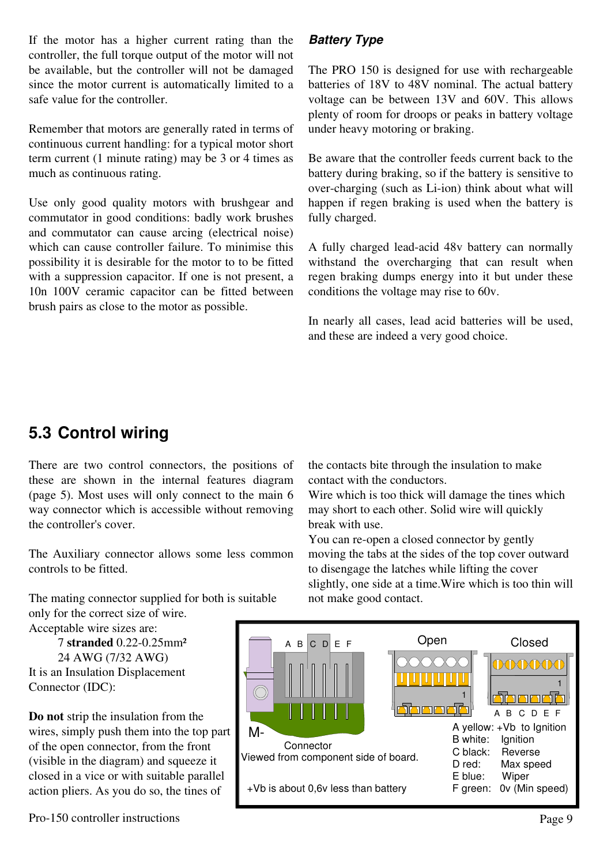If the motor has a higher current rating than the controller, the full torque output of the motor will not be available, but the controller will not be damaged since the motor current is automatically limited to a safe value for the controller.

Remember that motors are generally rated in terms of continuous current handling: for a typical motor short term current (1 minute rating) may be 3 or 4 times as much as continuous rating.

Use only good quality motors with brushgear and commutator in good conditions: badly work brushes and commutator can cause arcing (electrical noise) which can cause controller failure. To minimise this possibility it is desirable for the motor to to be fitted with a suppression capacitor. If one is not present, a 10n 100V ceramic capacitor can be fitted between brush pairs as close to the motor as possible.

### *Battery Type*

The PRO 150 is designed for use with rechargeable batteries of 18V to 48V nominal. The actual battery voltage can be between 13V and 60V. This allows plenty of room for droops or peaks in battery voltage under heavy motoring or braking.

Be aware that the controller feeds current back to the battery during braking, so if the battery is sensitive to over-charging (such as Li-ion) think about what will happen if regen braking is used when the battery is fully charged.

A fully charged lead-acid 48v battery can normally withstand the overcharging that can result when regen braking dumps energy into it but under these conditions the voltage may rise to 60v.

In nearly all cases, lead acid batteries will be used, and these are indeed a very good choice.

### **5.3 Control wiring**

There are two control connectors, the positions of these are shown in the internal features diagram (page 5). Most uses will only connect to the main 6 way connector which is accessible without removing the controller's cover.

The Auxiliary connector allows some less common controls to be fitted.

The mating connector supplied for both is suitable only for the correct size of wire.

Acceptable wire sizes are:

7 **stranded** 0.22-0.25mm² 24 AWG (7/32 AWG) It is an Insulation Displacement Connector (IDC):

**Do not** strip the insulation from the wires, simply push them into the top part of the open connector, from the front (visible in the diagram) and squeeze it closed in a vice or with suitable parallel action pliers. As you do so, the tines of

the contacts bite through the insulation to make contact with the conductors.

Wire which is too thick will damage the tines which may short to each other. Solid wire will quickly break with use.

You can re-open a closed connector by gently moving the tabs at the sides of the top cover outward to disengage the latches while lifting the cover slightly, one side at a time.Wire which is too thin will not make good contact.

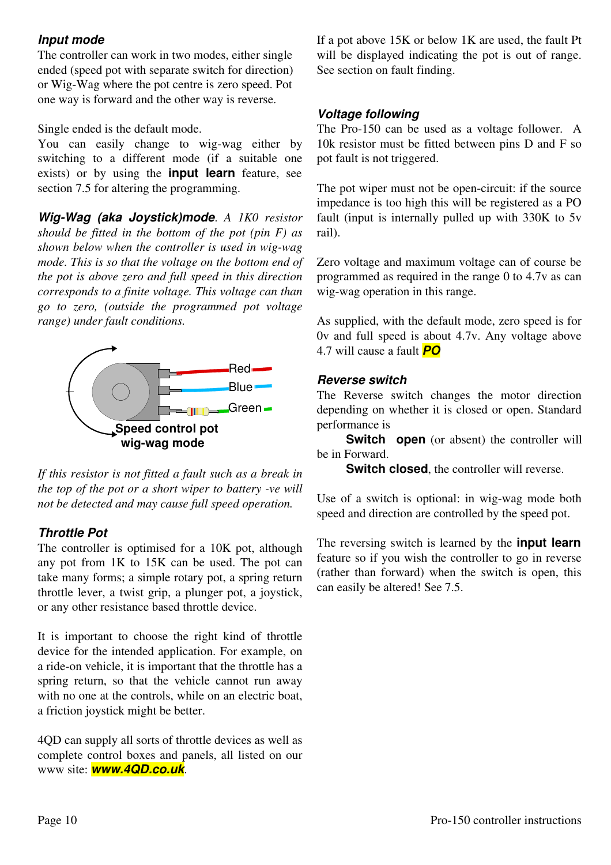### *Input mode*

The controller can work in two modes, either single ended (speed pot with separate switch for direction) or Wig-Wag where the pot centre is zero speed. Pot one way is forward and the other way is reverse.

Single ended is the default mode.

You can easily change to wig-wag either by switching to a different mode (if a suitable one exists) or by using the **input learn** feature, see section 7.5 for altering the programming.

*Wig-Wag (aka Joystick)mode*. *A 1K0 resistor should be fitted in the bottom of the pot (pin F) as shown below when the controller is used in wig-wag mode. This is so that the voltage on the bottom end of the pot is above zero and full speed in this direction corresponds to a finite voltage. This voltage can than go to zero, (outside the programmed pot voltage range) under fault conditions.*



*If this resistor is not fitted a fault such as a break in the top of the pot or a short wiper to battery -ve will not be detected and may cause full speed operation.*

### *Throttle Pot*

The controller is optimised for a 10K pot, although any pot from 1K to 15K can be used. The pot can take many forms; a simple rotary pot, a spring return throttle lever, a twist grip, a plunger pot, a joystick, or any other resistance based throttle device.

It is important to choose the right kind of throttle device for the intended application. For example, on a ride-on vehicle, it is important that the throttle has a spring return, so that the vehicle cannot run away with no one at the controls, while on an electric boat. a friction joystick might be better.

4QD can supply all sorts of throttle devices as well as complete control boxes and panels, all listed on our www site: *www.4QD.co.uk*.

If a pot above 15K or below 1K are used, the fault Pt will be displayed indicating the pot is out of range. See section on fault finding.

### *Voltage following*

The Pro-150 can be used as a voltage follower. A 10k resistor must be fitted between pins D and F so pot fault is not triggered.

The pot wiper must not be open-circuit: if the source impedance is too high this will be registered as a PO fault (input is internally pulled up with 330K to 5v rail).

Zero voltage and maximum voltage can of course be programmed as required in the range 0 to 4.7v as can wig-wag operation in this range.

As supplied, with the default mode, zero speed is for 0v and full speed is about 4.7v. Any voltage above 4.7 will cause a fault *PO*

#### *Reverse switch*

The Reverse switch changes the motor direction depending on whether it is closed or open. Standard performance is

**Switch open** (or absent) the controller will be in Forward.

**Switch closed**, the controller will reverse.

Use of a switch is optional: in wig-wag mode both speed and direction are controlled by the speed pot.

The reversing switch is learned by the **input learn** feature so if you wish the controller to go in reverse (rather than forward) when the switch is open, this can easily be altered! See 7.5.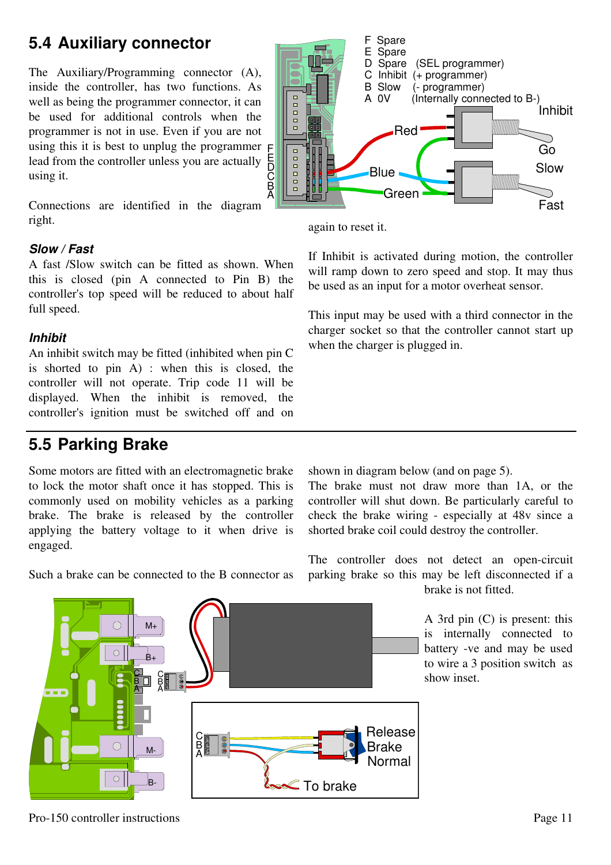### **5.4 Auxiliary connector**

The Auxiliary/Programming connector (A), inside the controller, has two functions. As well as being the programmer connector, it can be used for additional controls when the programmer is not in use. Even if you are not using this it is best to unplug the programmer  $E$ lead from the controller unless you are actually using it.

Connections are identified in the diagram right.

#### *Slow / Fast*

A fast /Slow switch can be fitted as shown. When this is closed (pin A connected to Pin B) the controller's top speed will be reduced to about half full speed.

#### *Inhibit*

An inhibit switch may be fitted (inhibited when pin C is shorted to pin A) : when this is closed, the controller will not operate. Trip code 11 will be displayed. When the inhibit is removed, the controller's ignition must be switched off and on

### **5.5 Parking Brake**

Some motors are fitted with an electromagnetic brake to lock the motor shaft once it has stopped. This is commonly used on mobility vehicles as a parking brake. The brake is released by the controller applying the battery voltage to it when drive is engaged.

Such a brake can be connected to the B connector as

shown in diagram below (and on page 5).

The brake must not draw more than 1A, or the controller will shut down. Be particularly careful to check the brake wiring - especially at 48v since a shorted brake coil could destroy the controller.

The controller does not detect an open-circuit parking brake so this may be left disconnected if a brake is not fitted.

> A 3rd pin (C) is present: this is internally connected to battery -ve and may be used to wire a 3 position switch as show inset.







again to reset it.

If Inhibit is activated during motion, the controller will ramp down to zero speed and stop. It may thus be used as an input for a motor overheat sensor.

This input may be used with a third connector in the charger socket so that the controller cannot start up when the charger is plugged in.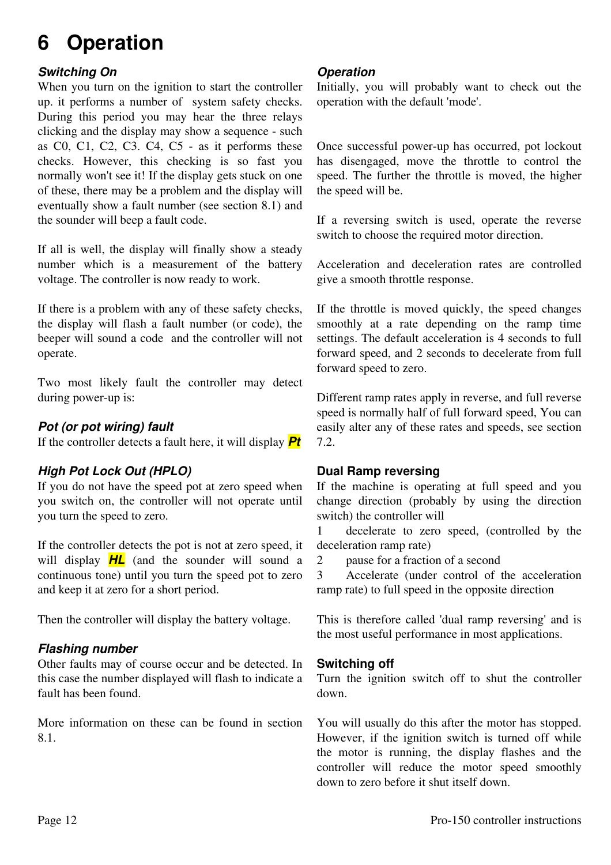# **6 Operation**

### *Switching On*

When you turn on the ignition to start the controller up. it performs a number of system safety checks. During this period you may hear the three relays clicking and the display may show a sequence - such as C0, C1, C2, C3. C4, C5 - as it performs these checks. However, this checking is so fast you normally won't see it! If the display gets stuck on one of these, there may be a problem and the display will eventually show a fault number (see section 8.1) and the sounder will beep a fault code.

If all is well, the display will finally show a steady number which is a measurement of the battery voltage. The controller is now ready to work.

If there is a problem with any of these safety checks, the display will flash a fault number (or code), the beeper will sound a code and the controller will not operate.

Two most likely fault the controller may detect during power-up is:

#### *Pot (or pot wiring) fault*

If the controller detects a fault here, it will display *Pt*

### *High Pot Lock Out (HPLO)*

If you do not have the speed pot at zero speed when you switch on, the controller will not operate until you turn the speed to zero.

If the controller detects the pot is not at zero speed, it will display *HL* (and the sounder will sound a continuous tone) until you turn the speed pot to zero and keep it at zero for a short period.

Then the controller will display the battery voltage.

#### *Flashing number*

Other faults may of course occur and be detected. In this case the number displayed will flash to indicate a fault has been found.

More information on these can be found in section 8.1.

#### *Operation*

Initially, you will probably want to check out the operation with the default 'mode'.

Once successful power-up has occurred, pot lockout has disengaged, move the throttle to control the speed. The further the throttle is moved, the higher the speed will be.

If a reversing switch is used, operate the reverse switch to choose the required motor direction.

Acceleration and deceleration rates are controlled give a smooth throttle response.

If the throttle is moved quickly, the speed changes smoothly at a rate depending on the ramp time settings. The default acceleration is 4 seconds to full forward speed, and 2 seconds to decelerate from full forward speed to zero.

Different ramp rates apply in reverse, and full reverse speed is normally half of full forward speed, You can easily alter any of these rates and speeds, see section 7.2.

#### **Dual Ramp reversing**

If the machine is operating at full speed and you change direction (probably by using the direction switch) the controller will

1 decelerate to zero speed, (controlled by the deceleration ramp rate)

2 pause for a fraction of a second

3 Accelerate (under control of the acceleration ramp rate) to full speed in the opposite direction

This is therefore called 'dual ramp reversing' and is the most useful performance in most applications.

#### **Switching off**

Turn the ignition switch off to shut the controller down.

You will usually do this after the motor has stopped. However, if the ignition switch is turned off while the motor is running, the display flashes and the controller will reduce the motor speed smoothly down to zero before it shut itself down.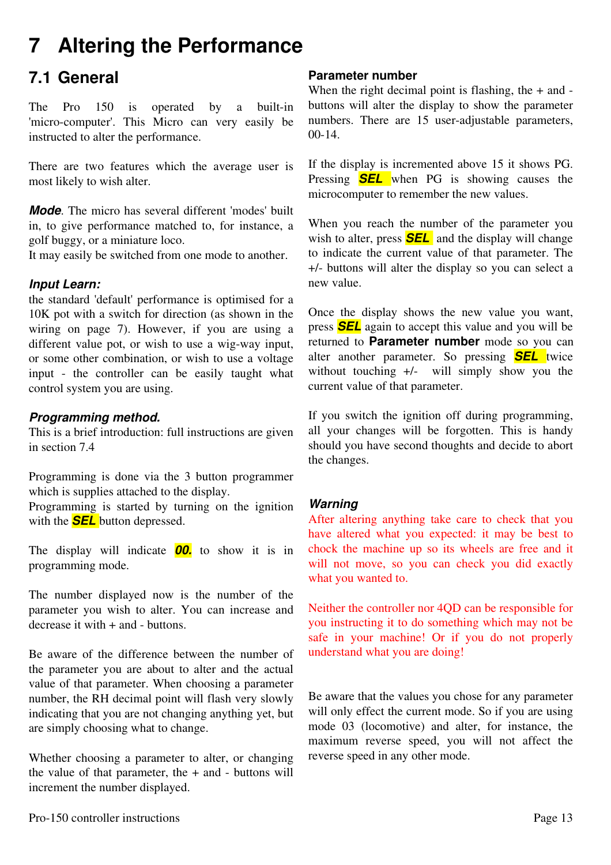## **7 Altering the Performance**

### **7.1 General**

The Pro 150 is operated by a built-in 'micro-computer'. This Micro can very easily be instructed to alter the performance.

There are two features which the average user is most likely to wish alter.

*Mode*. The micro has several different 'modes' built in, to give performance matched to, for instance, a golf buggy, or a miniature loco.

It may easily be switched from one mode to another.

### *Input Learn:*

the standard 'default' performance is optimised for a 10K pot with a switch for direction (as shown in the wiring on page 7). However, if you are using a different value pot, or wish to use a wig-way input, or some other combination, or wish to use a voltage input - the controller can be easily taught what control system you are using.

### *Programming method.*

This is a brief introduction: full instructions are given in section 7.4

Programming is done via the 3 button programmer which is supplies attached to the display.

Programming is started by turning on the ignition with the *SEL* button depressed.

The display will indicate *00.* to show it is in programming mode.

The number displayed now is the number of the parameter you wish to alter. You can increase and  $decrease$  it with  $+$  and  $-$  buttons.

Be aware of the difference between the number of the parameter you are about to alter and the actual value of that parameter. When choosing a parameter number, the RH decimal point will flash very slowly indicating that you are not changing anything yet, but are simply choosing what to change.

Whether choosing a parameter to alter, or changing the value of that parameter, the  $+$  and  $-$  buttons will increment the number displayed.

### **Parameter number**

When the right decimal point is flashing, the  $+$  and  $$ buttons will alter the display to show the parameter numbers. There are 15 user-adjustable parameters, 00-14.

If the display is incremented above 15 it shows PG. Pressing *SEL* when PG is showing causes the microcomputer to remember the new values.

When you reach the number of the parameter you wish to alter, press **SEL** and the display will change to indicate the current value of that parameter. The +/- buttons will alter the display so you can select a new value.

Once the display shows the new value you want, press *SEL* again to accept this value and you will be returned to **Parameter number** mode so you can alter another parameter. So pressing *SEL* twice without touching  $+/-$  will simply show you the current value of that parameter.

If you switch the ignition off during programming, all your changes will be forgotten. This is handy should you have second thoughts and decide to abort the changes.

### *Warning*

After altering anything take care to check that you have altered what you expected: it may be best to chock the machine up so its wheels are free and it will not move, so you can check you did exactly what you wanted to.

Neither the controller nor 4QD can be responsible for you instructing it to do something which may not be safe in your machine! Or if you do not properly understand what you are doing!

Be aware that the values you chose for any parameter will only effect the current mode. So if you are using mode 03 (locomotive) and alter, for instance, the maximum reverse speed, you will not affect the reverse speed in any other mode.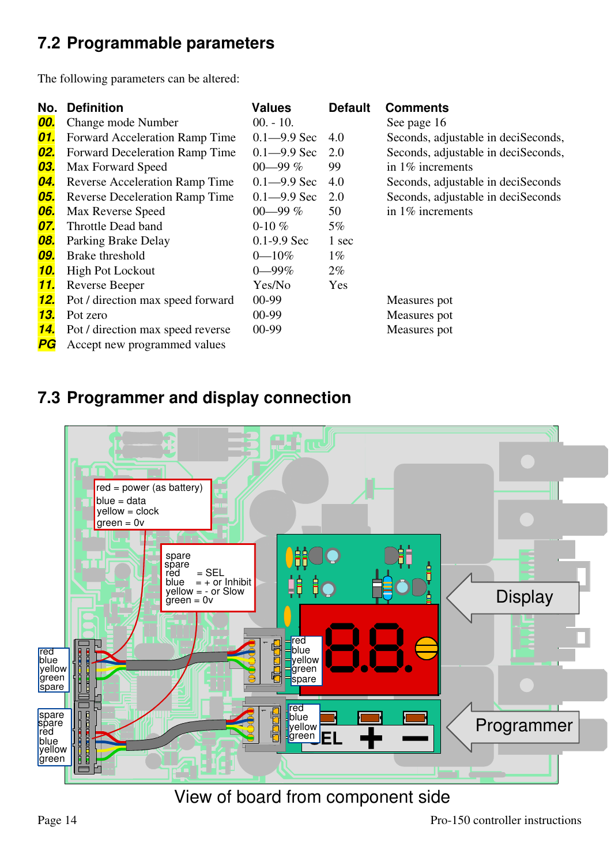### **7.2 Programmable parameters**

The following parameters can be altered:

| No.        | <b>Definition</b>                     | <b>Values</b>   | <b>Default</b> | <b>Comments</b>                     |
|------------|---------------------------------------|-----------------|----------------|-------------------------------------|
| 00.        | Change mode Number                    | $00. - 10.$     |                | See page 16                         |
| 01.        | Forward Acceleration Ramp Time        | $0.1 - 9.9$ Sec | 4.0            | Seconds, adjustable in deciSeconds, |
| <u>02.</u> | <b>Forward Deceleration Ramp Time</b> | $0.1 - 9.9$ Sec | 2.0            | Seconds, adjustable in deciSeconds, |
| 03.        | Max Forward Speed                     | 00-99 $%$       | 99             | in $1\%$ increments                 |
| <b>04.</b> | <b>Reverse Acceleration Ramp Time</b> | $0.1 - 9.9$ Sec | 4.0            | Seconds, adjustable in deciSeconds  |
| 05.        | <b>Reverse Deceleration Ramp Time</b> | $0.1 - 9.9$ Sec | 2.0            | Seconds, adjustable in deciSeconds  |
| 06.        | Max Reverse Speed                     | 00-99 $%$       | 50             | in $1\%$ increments                 |
| 07.        | Throttle Dead band                    | 0-10 $%$        | $5\%$          |                                     |
| 08.        | Parking Brake Delay                   | $0.1 - 9.9$ Sec | 1 sec          |                                     |
| 09.        | Brake threshold                       | $0 - 10\%$      | $1\%$          |                                     |
| <u>10.</u> | <b>High Pot Lockout</b>               | $0 - 99\%$      | $2\%$          |                                     |
| <u>11.</u> | Reverse Beeper                        | Yes/No          | Yes            |                                     |
| <u>12.</u> | Pot / direction max speed forward     | 00-99           |                | Measures pot                        |
| 13.        | Pot zero                              | 00-99           |                | Measures pot                        |
| <u>14.</u> | Pot / direction max speed reverse     | 00-99           |                | Measures pot                        |
| P G        | Accept new programmed values          |                 |                |                                     |

### **7.3 Programmer and display connection**



View of board from component side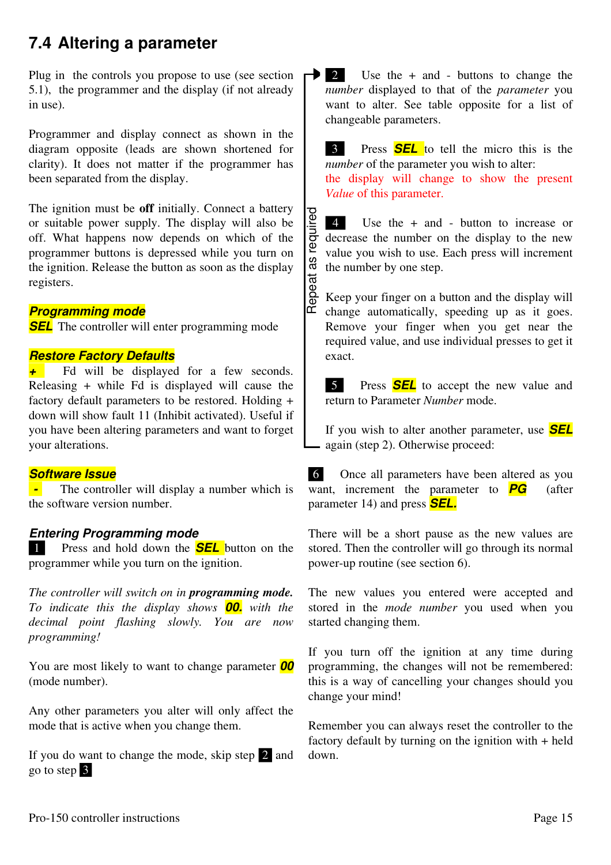### **7.4 Altering a parameter**

Plug in the controls you propose to use (see section 5.1), the programmer and the display (if not already in use).

Programmer and display connect as shown in the diagram opposite (leads are shown shortened for clarity). It does not matter if the programmer has been separated from the display.

The ignition must be **off** initially. Connect a battery or suitable power supply. The display will also be off. What happens now depends on which of the programmer buttons is depressed while you turn on the ignition. Release the button as soon as the display registers.

#### *Programming mode*

**SEL** The controller will enter programming mode

#### *Restore Factory Defaults*

<sup>*+*</sup> Fd will be displayed for a few seconds. Releasing + while Fd is displayed will cause the factory default parameters to be restored. Holding + down will show fault 11 (Inhibit activated). Useful if you have been altering parameters and want to forget your alterations.

#### *Software Issue*

**-** The controller will display a number which is the software version number.

#### *Entering Programming mode*

 1 Press and hold down the *SEL* button on the programmer while you turn on the ignition.

*The controller will switch on in programming mode. To indicate this the display shows 00. with the decimal point flashing slowly. You are now programming!*

You are most likely to want to change parameter *00* (mode number).

Any other parameters you alter will only affect the mode that is active when you change them.

If you do want to change the mode, skip step  $2$  and go to step 3

 $\rightarrow$  2 Use the  $+$  and  $-$  buttons to change the *number* displayed to that of the *parameter* you want to alter. See table opposite for a list of changeable parameters.

**3** Press **SEL** to tell the micro this is the *number* of the parameter you wish to alter: the display will change to show the present *Value* of this parameter.

Repeat as required 4 Use the + and - button to increase or decrease the number on the display to the new value you wish to use. Each press will increment the number by one step.

Keep your finger on a button and the display will change automatically, speeding up as it goes. Remove your finger when you get near the required value, and use individual presses to get it exact. Repeat as required

5 Press **SEL** to accept the new value and return to Parameter *Number* mode.

If you wish to alter another parameter, use *SEL* again (step 2). Otherwise proceed:

 6 Once all parameters have been altered as you want, increment the parameter to **PG** (after parameter 14) and press *SEL.*

There will be a short pause as the new values are stored. Then the controller will go through its normal power-up routine (see section 6).

The new values you entered were accepted and stored in the *mode number* you used when you started changing them.

If you turn off the ignition at any time during programming, the changes will not be remembered: this is a way of cancelling your changes should you change your mind!

Remember you can always reset the controller to the factory default by turning on the ignition with + held down.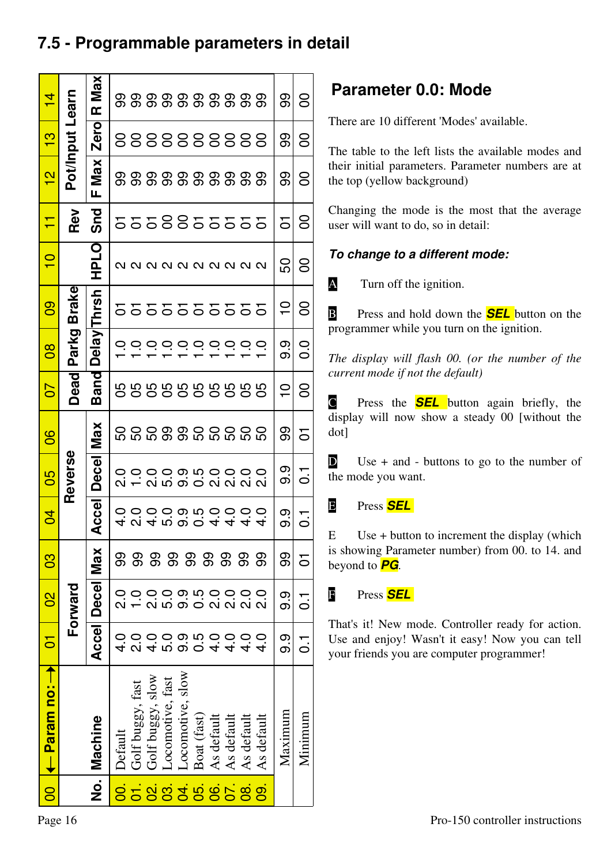### **7.5 - Programmable parameters in detail**

|           | 00 I← Param no: →                      | <b>DED</b>    | $\overline{0}$    | 80     | 5       | 80                       | 80                | 50               | $\overline{8}$      | ဓ္ဌ                                       | $\frac{1}{1}$       | Ξ          | $\frac{2}{1}$ | 3               | $\overline{4}$ |
|-----------|----------------------------------------|---------------|-------------------|--------|---------|--------------------------|-------------------|------------------|---------------------|-------------------------------------------|---------------------|------------|---------------|-----------------|----------------|
|           |                                        |               | Forward           |        |         | Reverse                  |                   | Dead             | Parkg               | <b>Brake</b>                              |                     | Rev        |               | Pot/Input Learn |                |
|           | No. Machine                            |               | Accel Decel       | Max    | Accel   | <b>Decel</b>             | <b>Max</b>        | Band             | <b>Delay Thrsh</b>  |                                           | <b>HPLO</b>         | <b>Snd</b> | Max<br>Щ      | Zero            | R Max          |
| 00.       | Default                                |               |                   | ဓ္တ    |         |                          |                   |                  |                     |                                           |                     |            |               |                 |                |
|           | Golf buggy, fast                       |               |                   | ဓ္တ    |         | $\circ$                  |                   |                  |                     |                                           |                     |            |               |                 |                |
|           | Golf buggy, slow                       |               |                   |        |         |                          |                   |                  |                     |                                           |                     |            |               |                 |                |
|           | Locomotive, fast                       | ທ່            | 5.0               |        |         |                          |                   |                  | 000000              |                                           |                     |            |               |                 |                |
|           | Locomotive, slow                       | თ             | ဝ.<br>ဝ           |        |         |                          |                   |                  |                     |                                           |                     |            |               |                 |                |
| 588388658 | Boat (fast)                            |               | 0.5               | 888888 |         |                          |                   | 8888888888       |                     | 555555555                                 | Q Q Q Q Q Q Q Q Q Q | 5558855555 |               |                 |                |
|           |                                        |               | $\overline{2}$ .0 |        |         |                          |                   |                  | $\circ \circ \circ$ |                                           |                     |            |               |                 |                |
|           |                                        |               | $\overline{2}$ .0 |        |         |                          |                   |                  |                     |                                           |                     |            |               |                 |                |
|           | As default<br>As default<br>As default | $\frac{0}{4}$ | $\frac{0}{2}$     |        |         |                          |                   |                  |                     |                                           |                     |            |               |                 |                |
| 09.       | As default                             |               |                   | ္တ     |         |                          | <b>0000000000</b> |                  | $\circ$             |                                           |                     |            |               | 888888888       |                |
|           | Maximum                                | ၈.<br>၈       | <u>၅</u>          | ဓ္တ    | თ.<br>თ | 0.<br>0                  | ဓ္တ               | $\frac{1}{\tau}$ | တု<br>တ             | $\mathop{0}\limits_{\mathsf{\mathsf{I}}}$ | င္တ                 | 5          | ဓ္တ           | ဓ္တ             | ဓ္တ            |
|           | Minimum                                | r<br>O        | r<br>O            | 5      | —<br>ㅇ  | $\overline{\phantom{a}}$ | 5                 | 8                | 0.0                 | 8                                         | 8                   | 8          | 8             | 8               | 8              |

### **Parameter 0.0: Mode**

There are 10 different 'Modes' available.

The table to the left lists the available modes and their initial parameters. Parameter numbers are at the top (yellow background)

Changing the mode is the most that the average user will want to do, so in detail:

### *To change to a different mode:*

A Turn off the ignition.

**B** Press and hold down the **SEL** button on the programmer while you turn on the ignition.

*The display will flash 00. (or the number of the current mode if not the default)*

C Press the *SEL* button again briefly, the display will now show a steady 00 [without the dot]

 $\bullet$  Use + and - buttons to go to the number of the mode you want.

### E Press *SEL*

E Use + button to increment the display (which is showing Parameter number) from 00. to 14. and beyond to *PG*.

F Press *SEL* 

That's it! New mode. Controller ready for action. Use and enjoy! Wasn't it easy! Now you can tell your friends you are computer programmer!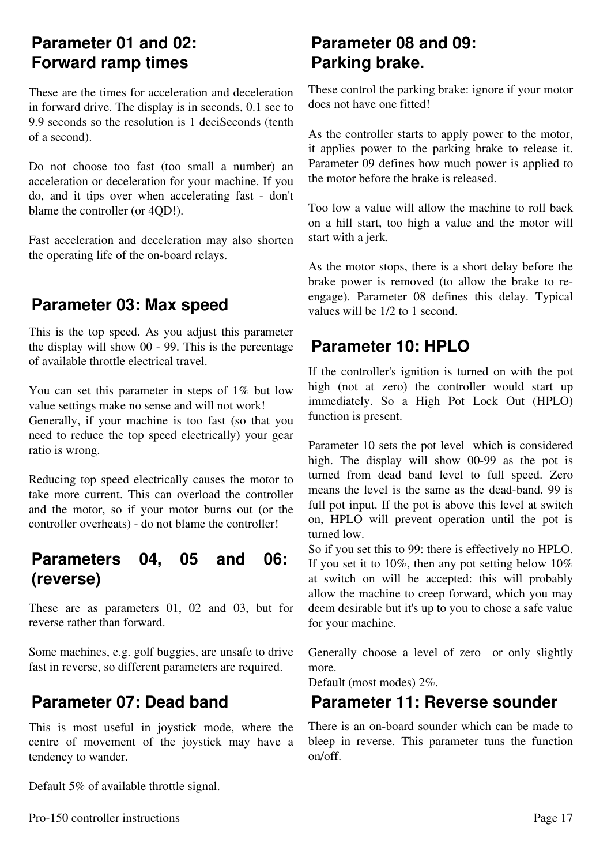### **Parameter 01 and 02: Forward ramp times**

These are the times for acceleration and deceleration in forward drive. The display is in seconds, 0.1 sec to 9.9 seconds so the resolution is 1 deciSeconds (tenth of a second).

Do not choose too fast (too small a number) an acceleration or deceleration for your machine. If you do, and it tips over when accelerating fast - don't blame the controller (or 4QD!).

Fast acceleration and deceleration may also shorten the operating life of the on-board relays.

### **Parameter 03: Max speed**

This is the top speed. As you adjust this parameter the display will show 00 - 99. This is the percentage of available throttle electrical travel.

You can set this parameter in steps of 1% but low value settings make no sense and will not work! Generally, if your machine is too fast (so that you need to reduce the top speed electrically) your gear ratio is wrong.

Reducing top speed electrically causes the motor to take more current. This can overload the controller and the motor, so if your motor burns out (or the controller overheats) - do not blame the controller!

### **Parameters 04, 05 and 06: (reverse)**

These are as parameters 01, 02 and 03, but for reverse rather than forward.

Some machines, e.g. golf buggies, are unsafe to drive fast in reverse, so different parameters are required.

### **Parameter 07: Dead band**

This is most useful in joystick mode, where the centre of movement of the joystick may have a tendency to wander.

Default 5% of available throttle signal.

### **Parameter 08 and 09: Parking brake.**

These control the parking brake: ignore if your motor does not have one fitted!

As the controller starts to apply power to the motor, it applies power to the parking brake to release it. Parameter 09 defines how much power is applied to the motor before the brake is released.

Too low a value will allow the machine to roll back on a hill start, too high a value and the motor will start with a jerk.

As the motor stops, there is a short delay before the brake power is removed (to allow the brake to reengage). Parameter 08 defines this delay. Typical values will be 1/2 to 1 second.

### **Parameter 10: HPLO**

If the controller's ignition is turned on with the pot high (not at zero) the controller would start up immediately. So a High Pot Lock Out (HPLO) function is present.

Parameter 10 sets the pot level which is considered high. The display will show 00-99 as the pot is turned from dead band level to full speed. Zero means the level is the same as the dead-band. 99 is full pot input. If the pot is above this level at switch on, HPLO will prevent operation until the pot is turned low.

So if you set this to 99: there is effectively no HPLO. If you set it to  $10\%$ , then any pot setting below  $10\%$ at switch on will be accepted: this will probably allow the machine to creep forward, which you may deem desirable but it's up to you to chose a safe value for your machine.

Generally choose a level of zero or only slightly more.

Default (most modes) 2%.

### **Parameter 11: Reverse sounder**

There is an on-board sounder which can be made to bleep in reverse. This parameter tuns the function on/off.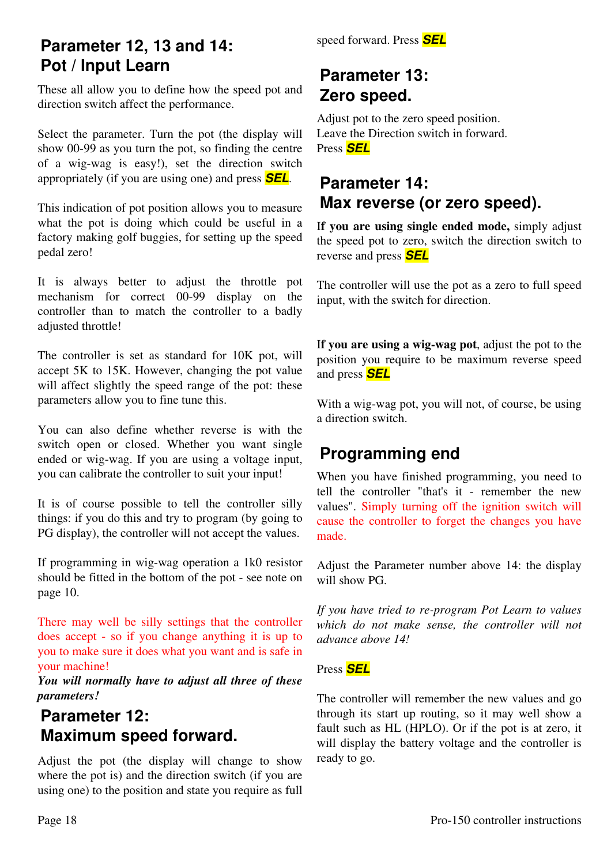### **Parameter 12, 13 and 14: Pot / Input Learn**

These all allow you to define how the speed pot and direction switch affect the performance.

Select the parameter. Turn the pot (the display will show 00-99 as you turn the pot, so finding the centre of a wig-wag is easy!), set the direction switch appropriately (if you are using one) and press *SEL*.

This indication of pot position allows you to measure what the pot is doing which could be useful in a factory making golf buggies, for setting up the speed pedal zero!

It is always better to adjust the throttle pot mechanism for correct 00-99 display on the controller than to match the controller to a badly adjusted throttle!

The controller is set as standard for 10K pot, will accept 5K to 15K. However, changing the pot value will affect slightly the speed range of the pot: these parameters allow you to fine tune this.

You can also define whether reverse is with the switch open or closed. Whether you want single ended or wig-wag. If you are using a voltage input, you can calibrate the controller to suit your input!

It is of course possible to tell the controller silly things: if you do this and try to program (by going to PG display), the controller will not accept the values.

If programming in wig-wag operation a 1k0 resistor should be fitted in the bottom of the pot - see note on page 10.

There may well be silly settings that the controller does accept - so if you change anything it is up to you to make sure it does what you want and is safe in your machine!

*You will normally have to adjust all three of these parameters!* 

### **Parameter 12: Maximum speed forward.**

Adjust the pot (the display will change to show where the pot is) and the direction switch (if you are using one) to the position and state you require as full speed forward. Press *SEL*

### **Parameter 13: Zero speed.**

Adjust pot to the zero speed position. Leave the Direction switch in forward. Press *SEL*

### **Parameter 14: Max reverse (or zero speed).**

I**f you are using single ended mode,** simply adjust the speed pot to zero, switch the direction switch to reverse and press *SEL*

The controller will use the pot as a zero to full speed input, with the switch for direction.

I**f you are using a wig-wag pot**, adjust the pot to the position you require to be maximum reverse speed and press *SEL*

With a wig-wag pot, you will not, of course, be using a direction switch.

### **Programming end**

When you have finished programming, you need to tell the controller "that's it - remember the new values". Simply turning off the ignition switch will cause the controller to forget the changes you have made.

Adjust the Parameter number above 14: the display will show PG.

*If you have tried to re-program Pot Learn to values which do not make sense, the controller will not advance above 14!*

Press *SEL*

The controller will remember the new values and go through its start up routing, so it may well show a fault such as HL (HPLO). Or if the pot is at zero, it will display the battery voltage and the controller is ready to go.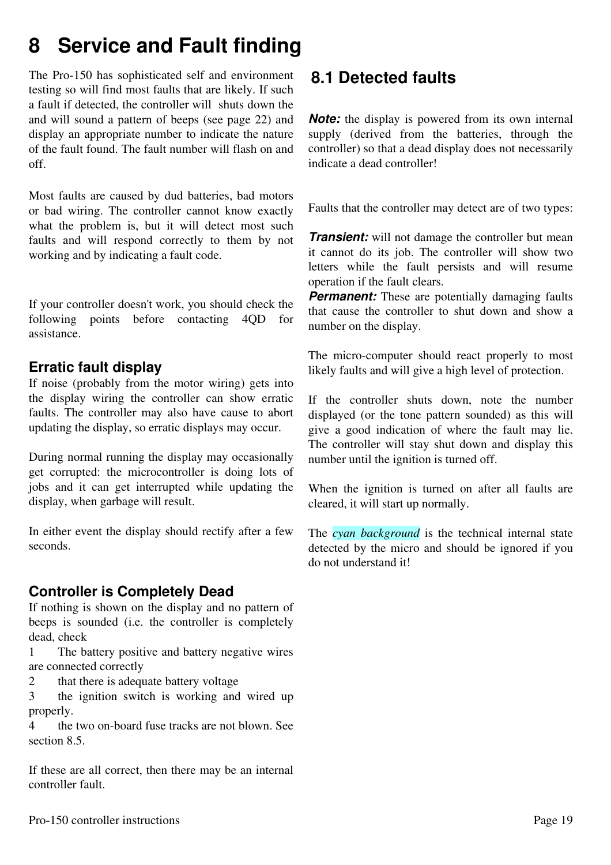## **8 Service and Fault finding**

The Pro-150 has sophisticated self and environment testing so will find most faults that are likely. If such a fault if detected, the controller will shuts down the and will sound a pattern of beeps (see page 22) and display an appropriate number to indicate the nature of the fault found. The fault number will flash on and off.

Most faults are caused by dud batteries, bad motors or bad wiring. The controller cannot know exactly what the problem is, but it will detect most such faults and will respond correctly to them by not working and by indicating a fault code.

If your controller doesn't work, you should check the following points before contacting 4QD for assistance.

### **Erratic fault display**

If noise (probably from the motor wiring) gets into the display wiring the controller can show erratic faults. The controller may also have cause to abort updating the display, so erratic displays may occur.

During normal running the display may occasionally get corrupted: the microcontroller is doing lots of jobs and it can get interrupted while updating the display, when garbage will result.

In either event the display should rectify after a few seconds.

### **Controller is Completely Dead**

If nothing is shown on the display and no pattern of beeps is sounded (i.e. the controller is completely dead, check

1 The battery positive and battery negative wires are connected correctly

2 that there is adequate battery voltage

3 the ignition switch is working and wired up properly.

4 the two on-board fuse tracks are not blown. See section 8.5.

If these are all correct, then there may be an internal controller fault.

### **8.1 Detected faults**

*Note:* the display is powered from its own internal supply (derived from the batteries, through the controller) so that a dead display does not necessarily indicate a dead controller!

Faults that the controller may detect are of two types:

*Transient:* will not damage the controller but mean it cannot do its job. The controller will show two letters while the fault persists and will resume operation if the fault clears.

**Permanent:** These are potentially damaging faults that cause the controller to shut down and show a number on the display.

The micro-computer should react properly to most likely faults and will give a high level of protection.

If the controller shuts down, note the number displayed (or the tone pattern sounded) as this will give a good indication of where the fault may lie. The controller will stay shut down and display this number until the ignition is turned off.

When the ignition is turned on after all faults are cleared, it will start up normally.

The *cyan background* is the technical internal state detected by the micro and should be ignored if you do not understand it!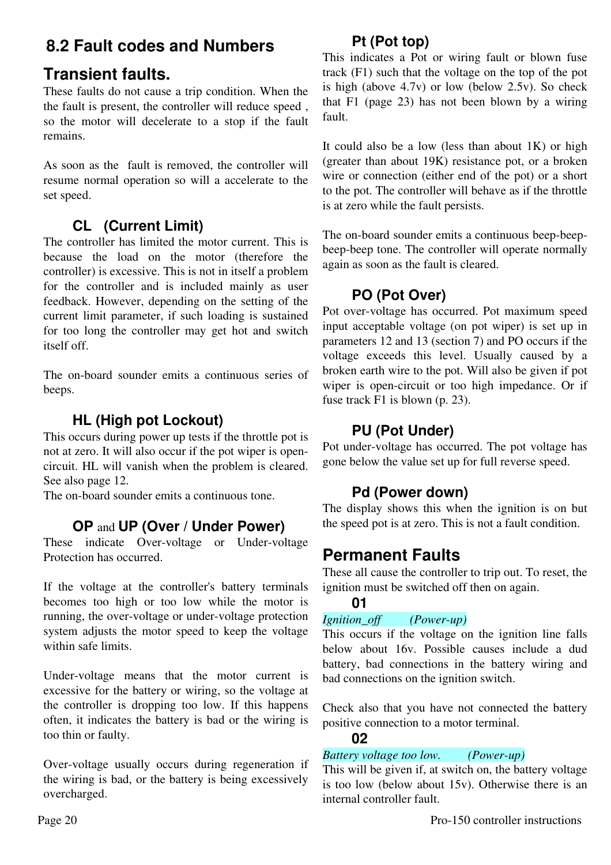### **8.2 Fault codes and Numbers**

### **Transient faults.**

These faults do not cause a trip condition. When the the fault is present, the controller will reduce speed , so the motor will decelerate to a stop if the fault remains.

As soon as the fault is removed, the controller will resume normal operation so will a accelerate to the set speed.

### **CL (Current Limit)**

The controller has limited the motor current. This is because the load on the motor (therefore the controller) is excessive. This is not in itself a problem for the controller and is included mainly as user feedback. However, depending on the setting of the current limit parameter, if such loading is sustained for too long the controller may get hot and switch itself off.

The on-board sounder emits a continuous series of beeps.

### **HL (High pot Lockout)**

This occurs during power up tests if the throttle pot is not at zero. It will also occur if the pot wiper is opencircuit. HL will vanish when the problem is cleared. See also page 12.

The on-board sounder emits a continuous tone.

### **OP** and **UP (Over / Under Power)**

These indicate Over-voltage or Under-voltage Protection has occurred.

If the voltage at the controller's battery terminals becomes too high or too low while the motor is running, the over-voltage or under-voltage protection system adjusts the motor speed to keep the voltage within safe limits.

Under-voltage means that the motor current is excessive for the battery or wiring, so the voltage at the controller is dropping too low. If this happens often, it indicates the battery is bad or the wiring is too thin or faulty.

Over-voltage usually occurs during regeneration if the wiring is bad, or the battery is being excessively overcharged.

### **Pt (Pot top)**

This indicates a Pot or wiring fault or blown fuse track (F1) such that the voltage on the top of the pot is high (above 4.7v) or low (below 2.5v). So check that F1 (page 23) has not been blown by a wiring fault.

It could also be a low (less than about  $1K$ ) or high (greater than about 19K) resistance pot, or a broken wire or connection (either end of the pot) or a short to the pot. The controller will behave as if the throttle is at zero while the fault persists.

The on-board sounder emits a continuous beep-beepbeep-beep tone. The controller will operate normally again as soon as the fault is cleared.

### **PO (Pot Over)**

Pot over-voltage has occurred. Pot maximum speed input acceptable voltage (on pot wiper) is set up in parameters 12 and 13 (section 7) and PO occurs if the voltage exceeds this level. Usually caused by a broken earth wire to the pot. Will also be given if pot wiper is open-circuit or too high impedance. Or if fuse track F1 is blown (p. 23).

### **PU (Pot Under)**

Pot under-voltage has occurred. The pot voltage has gone below the value set up for full reverse speed.

### **Pd (Power down)**

The display shows this when the ignition is on but the speed pot is at zero. This is not a fault condition.

### **Permanent Faults**

These all cause the controller to trip out. To reset, the ignition must be switched off then on again.

### **01**

### *Ignition\_off (Power-up)*

This occurs if the voltage on the ignition line falls below about 16v. Possible causes include a dud battery, bad connections in the battery wiring and bad connections on the ignition switch.

Check also that you have not connected the battery positive connection to a motor terminal.

### **02**

### *Battery voltage too low. (Power-up)*

This will be given if, at switch on, the battery voltage is too low (below about 15v). Otherwise there is an internal controller fault.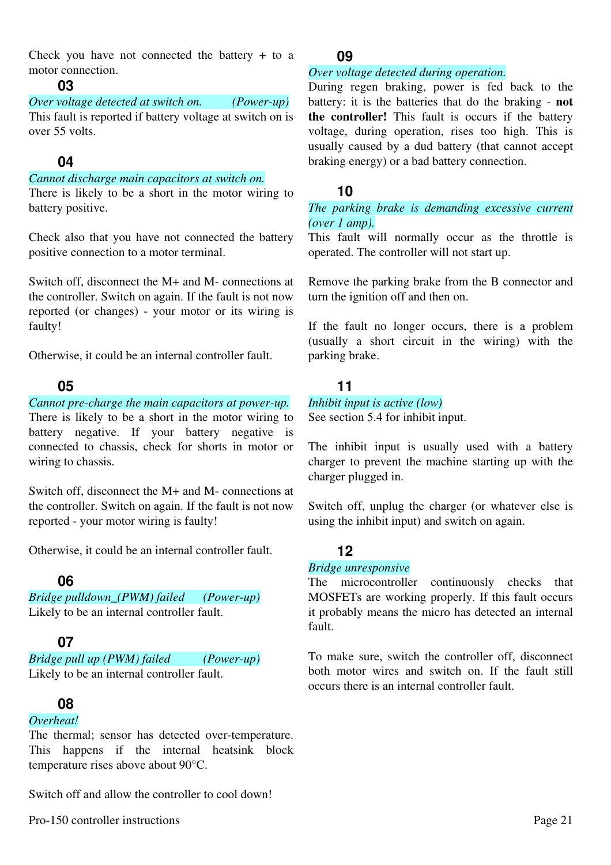Check you have not connected the battery + to a motor connection.

#### **03**

*Over voltage detected at switch on. (Power-up)* This fault is reported if battery voltage at switch on is over 55 volts.

### **04**

#### *Cannot discharge main capacitors at switch on.*

There is likely to be a short in the motor wiring to battery positive.

Check also that you have not connected the battery positive connection to a motor terminal.

Switch off, disconnect the M+ and M- connections at the controller. Switch on again. If the fault is not now reported (or changes) - your motor or its wiring is faulty!

Otherwise, it could be an internal controller fault.

#### **05**

#### *Cannot pre-charge the main capacitors at power-up.*

There is likely to be a short in the motor wiring to battery negative. If your battery negative is connected to chassis, check for shorts in motor or wiring to chassis.

Switch off, disconnect the M+ and M- connections at the controller. Switch on again. If the fault is not now reported - your motor wiring is faulty!

Otherwise, it could be an internal controller fault.

### **06**

*Bridge pulldown\_(PWM) failed (Power-up)* Likely to be an internal controller fault.

### **07**

*Bridge pull up (PWM) failed (Power-up)* Likely to be an internal controller fault.

### **08**

#### *Overheat!*

The thermal; sensor has detected over-temperature. This happens if the internal heatsink block temperature rises above about 90°C.

Switch off and allow the controller to cool down!

#### **09**

#### *Over voltage detected during operation.*

During regen braking, power is fed back to the battery: it is the batteries that do the braking - **not the controller!** This fault is occurs if the battery voltage, during operation, rises too high. This is usually caused by a dud battery (that cannot accept braking energy) or a bad battery connection.

#### **10**

#### *The parking brake is demanding excessive current (over 1 amp).*

This fault will normally occur as the throttle is operated. The controller will not start up.

Remove the parking brake from the B connector and turn the ignition off and then on.

If the fault no longer occurs, there is a problem (usually a short circuit in the wiring) with the parking brake.

### **11**

### *Inhibit input is active (low)*

See section 5.4 for inhibit input.

The inhibit input is usually used with a battery charger to prevent the machine starting up with the charger plugged in.

Switch off, unplug the charger (or whatever else is using the inhibit input) and switch on again.

### **12**

#### *Bridge unresponsive*

The microcontroller continuously checks that MOSFETs are working properly. If this fault occurs it probably means the micro has detected an internal fault.

To make sure, switch the controller off, disconnect both motor wires and switch on. If the fault still occurs there is an internal controller fault.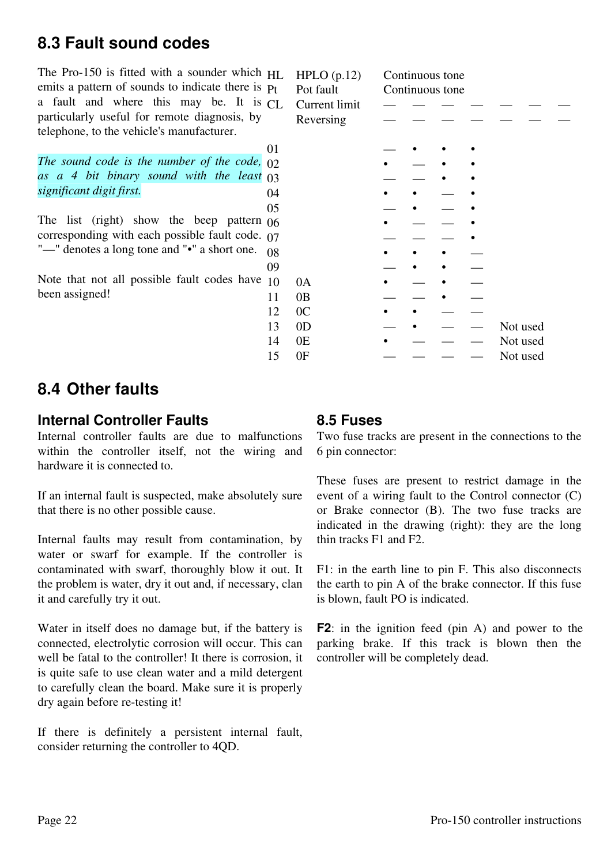### **8.3 Fault sound codes**

The Pro-150 is fitted with a sounder which  $H_{\text{L}}$ emits a pattern of sounds to indicate there is  $p_t$ a fault and where this may be. It is  $CI$ . particularly useful for remote diagnosis, by telephone, to the vehicle's manufacturer.

*The sound code is the number of the code, as a 4 bit binary sound with the least significant digit first.*

The list (right) show the beep pattern  $\alpha$ corresponding with each possible fault code.  $\sigma$ "—" denotes a long tone and "•" a short one.  $\alpha$ 

Note that not all possible fault codes have  $10$ been assigned!

Current limit Reversing

 $HPLO$  (p.12) Continuous tone Pot fault Continuous tone

| 01 |                |  |  |          |
|----|----------------|--|--|----------|
| 02 |                |  |  |          |
| 03 |                |  |  |          |
| 04 |                |  |  |          |
| 05 |                |  |  |          |
| 06 |                |  |  |          |
| 07 |                |  |  |          |
| 08 |                |  |  |          |
| 09 |                |  |  |          |
| 10 | 0A             |  |  |          |
| 11 | 0B             |  |  |          |
| 12 | 0 <sub>C</sub> |  |  |          |
| 13 | 0 <sub>D</sub> |  |  | Not used |
| 14 | 0E             |  |  | Not used |
| 15 | 0F             |  |  | Not used |

### **8.4 Other faults**

### **Internal Controller Faults**

Internal controller faults are due to malfunctions within the controller itself, not the wiring and hardware it is connected to.

If an internal fault is suspected, make absolutely sure that there is no other possible cause.

Internal faults may result from contamination, by water or swarf for example. If the controller is contaminated with swarf, thoroughly blow it out. It the problem is water, dry it out and, if necessary, clan it and carefully try it out.

Water in itself does no damage but, if the battery is connected, electrolytic corrosion will occur. This can well be fatal to the controller! It there is corrosion, it is quite safe to use clean water and a mild detergent to carefully clean the board. Make sure it is properly dry again before re-testing it!

If there is definitely a persistent internal fault, consider returning the controller to 4QD.

### **8.5 Fuses**

Two fuse tracks are present in the connections to the 6 pin connector:

These fuses are present to restrict damage in the event of a wiring fault to the Control connector (C) or Brake connector (B). The two fuse tracks are indicated in the drawing (right): they are the long thin tracks F1 and F2.

F1: in the earth line to pin F. This also disconnects the earth to pin A of the brake connector. If this fuse is blown, fault PO is indicated.

**F2**: in the ignition feed (pin A) and power to the parking brake. If this track is blown then the controller will be completely dead.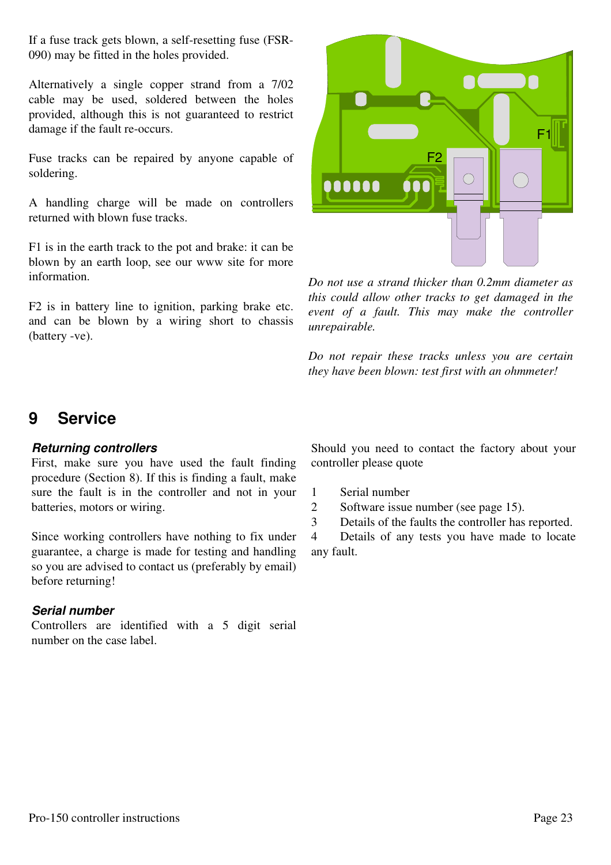If a fuse track gets blown, a self-resetting fuse (FSR-090) may be fitted in the holes provided.

Alternatively a single copper strand from a 7/02 cable may be used, soldered between the holes provided, although this is not guaranteed to restrict damage if the fault re-occurs.

Fuse tracks can be repaired by anyone capable of soldering.

A handling charge will be made on controllers returned with blown fuse tracks.

F1 is in the earth track to the pot and brake: it can be blown by an earth loop, see our www site for more information.

F2 is in battery line to ignition, parking brake etc. and can be blown by a wiring short to chassis (battery -ve).



*Do not use a strand thicker than 0.2mm diameter as this could allow other tracks to get damaged in the event of a fault. This may make the controller unrepairable.*

*Do not repair these tracks unless you are certain they have been blown: test first with an ohmmeter!*

### **9 Service**

#### *Returning controllers*

First, make sure you have used the fault finding procedure (Section 8). If this is finding a fault, make sure the fault is in the controller and not in your batteries, motors or wiring.

Since working controllers have nothing to fix under guarantee, a charge is made for testing and handling so you are advised to contact us (preferably by email) before returning!

### *Serial number*

Controllers are identified with a 5 digit serial number on the case label.

Should you need to contact the factory about your controller please quote

1 Serial number

2 Software issue number (see page 15).

3 Details of the faults the controller has reported.

4 Details of any tests you have made to locate any fault.